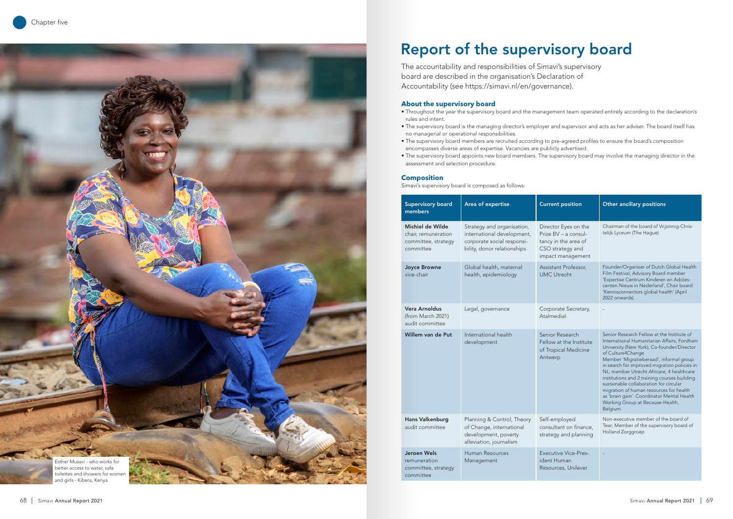

# **About the supervisory board**

- Throughout the year the supervisory board and the management team operated entirely according to the declaration's rules and intent.
- The supervisory board is the managing director's employer and supervisor and acts as her adviser. The board itself has no managerial or operational responsibilities.
- The supervisory board members are recruited according to pre-agreed profiles to ensure the board's composition encompasses diverse areas of expertise. Vacancies are publicly advertised.
- The supervisory board appoints new board members. The supervisory board may involve the managing director in the assessment and selection procedure.

# **Composition**

Simavi's supervisory board is composed as follows:

The accountability and responsibilities of Simavi's supervisory board are described in the organisation's Declaration of Accountability (see https://simavi.nl/en/governance).

# Report of the supervisory board

| <b>Supervisory board</b><br>members                                         | Area of expertise                                                                                                     | <b>Current position</b>                                                                                       | Other ancillary positions                                                                                                                                                                                                                                                                                                                                                                                                                                                                                                                     |
|-----------------------------------------------------------------------------|-----------------------------------------------------------------------------------------------------------------------|---------------------------------------------------------------------------------------------------------------|-----------------------------------------------------------------------------------------------------------------------------------------------------------------------------------------------------------------------------------------------------------------------------------------------------------------------------------------------------------------------------------------------------------------------------------------------------------------------------------------------------------------------------------------------|
| Michiel de Wilde<br>chair, remuneration<br>committee, strategy<br>committee | Strategy and organisation,<br>international development,<br>corporate social responsi-<br>bility, donor relationships | Director Eyes on the<br>Prize BV – a consul-<br>tancy in the area of<br>CSO strategy and<br>impact management | Chairman of the board of Vrijzinnig-Chris-<br>telijk Lyceum (The Hague)                                                                                                                                                                                                                                                                                                                                                                                                                                                                       |
| <b>Joyce Browne</b><br>vice-chair                                           | Global health, maternal<br>health, epidemiology                                                                       | Assistant Professor,<br><b>UMC Utrecht</b>                                                                    | Founder/Organiser of Dutch Global Health<br>Film Festival, Advisory Board member<br>'Expertise Centrum Kinderen en Adoles-<br>centen Nieuw in Nederland', Chair board<br>'Kennisconnectors global health' (April<br>2022 onwards)                                                                                                                                                                                                                                                                                                             |
| <b>Vera Arnoldus</b><br>(from March 2021)<br>audit committee                | Legal, governance                                                                                                     | Corporate Secretary,<br>Atalmedial                                                                            |                                                                                                                                                                                                                                                                                                                                                                                                                                                                                                                                               |
| Willem van de Put                                                           | International health<br>development                                                                                   | Senior Research<br>Fellow at the Institute<br>of Tropical Medicine<br>Antwerp                                 | Senior Research Fellow at the Institute of<br>International Humanitarian Affairs, Fordham<br>University (New York); Co-founder/Director<br>of Culture4Change<br>Member 'Migratieberaad', informal group<br>in search for improved migration policies in<br>NL; member Utrecht Africare, 4 healthcare<br>institutions and 2 training courses building<br>sustainable collaboration for circular<br>migration of human resources for health<br>as 'brain gain'. Coordinator Mental Health<br>Working Group at Because-Health,<br><b>Belgium</b> |
| <b>Hans Valkenburg</b><br>audit committee                                   | Planning & Control, Theory<br>of Change, international<br>development, poverty<br>alleviation, journalism             | Self-employed<br>consultant on finance,<br>strategy and planning                                              | Non-executive member of the board of<br>Tear; Member of the supervisory board of<br>Holland Zorggroep                                                                                                                                                                                                                                                                                                                                                                                                                                         |
| <b>Jeroen Wels</b><br>remuneration<br>committee, strategy<br>committee      | Human Resources<br>Management                                                                                         | <b>Executive Vice-Pres-</b><br>ident Human<br>Resources, Unilever                                             |                                                                                                                                                                                                                                                                                                                                                                                                                                                                                                                                               |